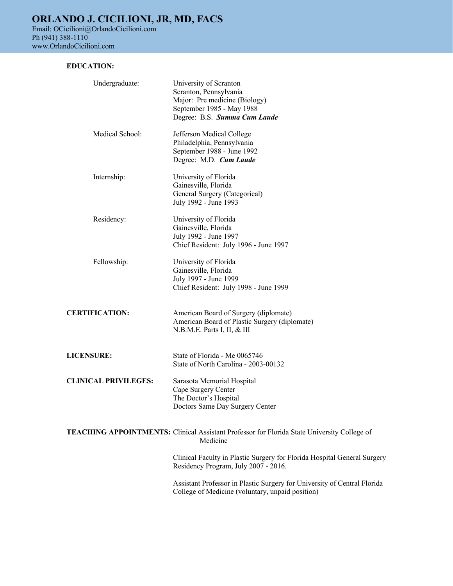## **EDUCATION:**

| Undergraduate:              | University of Scranton<br>Scranton, Pennsylvania<br>Major: Pre medicine (Biology)<br>September 1985 - May 1988<br>Degree: B.S. Summa Cum Laude |
|-----------------------------|------------------------------------------------------------------------------------------------------------------------------------------------|
| Medical School:             | Jefferson Medical College<br>Philadelphia, Pennsylvania<br>September 1988 - June 1992<br>Degree: M.D. Cum Laude                                |
| Internship:                 | University of Florida<br>Gainesville, Florida<br>General Surgery (Categorical)<br>July 1992 - June 1993                                        |
| Residency:                  | University of Florida<br>Gainesville, Florida<br>July 1992 - June 1997<br>Chief Resident: July 1996 - June 1997                                |
| Fellowship:                 | University of Florida<br>Gainesville, Florida<br>July 1997 - June 1999<br>Chief Resident: July 1998 - June 1999                                |
| <b>CERTIFICATION:</b>       | American Board of Surgery (diplomate)<br>American Board of Plastic Surgery (diplomate)<br>N.B.M.E. Parts I, II, & III                          |
| <b>LICENSURE:</b>           | State of Florida - Me 0065746<br>State of North Carolina - 2003-00132                                                                          |
| <b>CLINICAL PRIVILEGES:</b> | Sarasota Memorial Hospital<br>Cape Surgery Center<br>The Doctor's Hospital<br>Doctors Same Day Surgery Center                                  |
|                             | <b>TEACHING APPOINTMENTS:</b> Clinical Assistant Professor for Florida State University College of<br>Medicine                                 |
|                             | Clinical Faculty in Plastic Surgery for Florida Hospital General Surgery<br>Residency Program, July 2007 - 2016.                               |
|                             | Assistant Professor in Plastic Surgery for University of Central Florida<br>College of Medicine (voluntary, unpaid position)                   |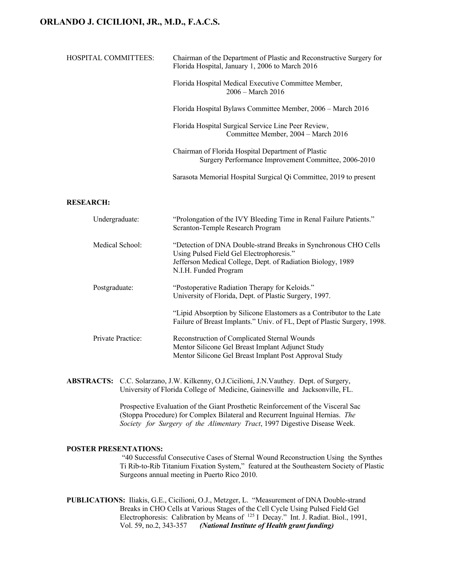| HOSPITAL COMMITTEES: | Chairman of the Department of Plastic and Reconstructive Surgery for<br>Florida Hospital, January 1, 2006 to March 2016 |
|----------------------|-------------------------------------------------------------------------------------------------------------------------|
|                      | Florida Hospital Medical Executive Committee Member,<br>$2006 - March 2016$                                             |
|                      | Florida Hospital Bylaws Committee Member, 2006 – March 2016                                                             |
|                      | Florida Hospital Surgical Service Line Peer Review,<br>Committee Member, 2004 - March 2016                              |
|                      | Chairman of Florida Hospital Department of Plastic<br>Surgery Performance Improvement Committee, 2006-2010              |
|                      | Sarasota Memorial Hospital Surgical Qi Committee, 2019 to present                                                       |
| <b>RESEARCH:</b>     |                                                                                                                         |
| Undergraduate:       | "Prolongation of the IVY Bleeding Time in Renal Failure Patients."<br>Scranton-Temple Research Program                  |

| Medical School:   | "Detection of DNA Double-strand Breaks in Synchronous CHO Cells<br>Using Pulsed Field Gel Electrophoresis." |
|-------------------|-------------------------------------------------------------------------------------------------------------|
|                   | Jefferson Medical College, Dept. of Radiation Biology, 1989                                                 |
|                   | N.I.H. Funded Program                                                                                       |
| Postgraduate:     | "Postoperative Radiation Therapy for Keloids."                                                              |
|                   | University of Florida, Dept. of Plastic Surgery, 1997.                                                      |
|                   | "Lipid Absorption by Silicone Elastomers as a Contributor to the Late                                       |
|                   | Failure of Breast Implants." Univ. of FL, Dept of Plastic Surgery, 1998.                                    |
| Private Practice: | Reconstruction of Complicated Sternal Wounds                                                                |
|                   | Mentor Silicone Gel Breast Implant Adjunct Study                                                            |
|                   | Mentor Silicone Gel Breast Implant Post Approval Study                                                      |

**ABSTRACTS:** C.C. Solarzano, J.W. Kilkenny, O.J.Cicilioni, J.N.Vauthey. Dept. of Surgery, University of Florida College of Medicine, Gainesville and Jacksonville, FL.

> Prospective Evaluation of the Giant Prosthetic Reinforcement of the Visceral Sac (Stoppa Procedure) for Complex Bilateral and Recurrent Inguinal Hernias. *The Society for Surgery of the Alimentary Tract*, 1997 Digestive Disease Week.

#### **POSTER PRESENTATIONS:**

"40 Successful Consecutive Cases of Sternal Wound Reconstruction Using the Synthes Ti Rib-to-Rib Titanium Fixation System," featured at the Southeastern Society of Plastic Surgeons annual meeting in Puerto Rico 2010.

**PUBLICATIONS:** Iliakis, G.E., Cicilioni, O.J., Metzger, L. "Measurement of DNA Double-strand Breaks in CHO Cells at Various Stages of the Cell Cycle Using Pulsed Field Gel Electrophoresis: Calibration by Means of 125 I Decay." Int. J. Radiat. Biol., 1991, Vol. 59, no.2, 343-357 *(National Institute of Health grant funding)*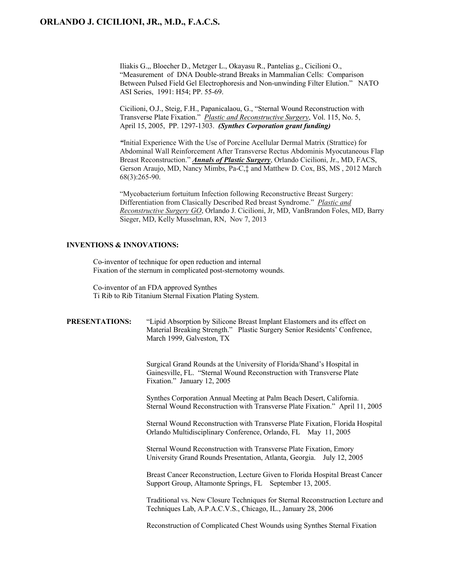Iliakis G.,, Bloecher D., Metzger L., Okayasu R., Pantelias g., Cicilioni O., "Measurement of DNA Double-strand Breaks in Mammalian Cells: Comparison Between Pulsed Field Gel Electrophoresis and Non-unwinding Filter Elution." NATO ASI Series, 1991: H54; PP. 55-69.

Cicilioni, O.J., Steig, F.H., Papanicalaou, G., "Sternal Wound Reconstruction with Transverse Plate Fixation." *Plastic and Reconstructive Surgery*, Vol. 115, No. 5, April 15, 2005, PP. 1297-1303. *(Synthes Corporation grant funding)*

*"*Initial Experience With the Use of Porcine Acellular Dermal Matrix (Strattice) for Abdominal Wall Reinforcement After Transverse Rectus Abdominis Myocutaneous Flap Breast Reconstruction." *Annals of Plastic Surgery*, Orlando Cicilioni, Jr., MD, FACS, Gerson Araujo, MD, Nancy Mimbs, Pa-C,‡ and Matthew D. Cox, BS, MS , 2012 March 68(3):265-90.

"Mycobacterium fortuitum Infection following Reconstructive Breast Surgery: Differentiation from Clasically Described Red breast Syndrome." *Plastic and Reconstructive Surgery GO*, Orlando J. Cicilioni, Jr, MD, VanBrandon Foles, MD, Barry Sieger, MD, Kelly Musselman, RN, Nov 7, 2013

## **INVENTIONS & INNOVATIONS:**

Co-inventor of technique for open reduction and internal Fixation of the sternum in complicated post-sternotomy wounds.

Co-inventor of an FDA approved Synthes Ti Rib to Rib Titanium Sternal Fixation Plating System.

| PRESENTATIONS: | "Lipid Absorption by Silicone Breast Implant Elastomers and its effect on<br>Material Breaking Strength." Plastic Surgery Senior Residents' Confrence,<br>March 1999, Galveston, TX |
|----------------|-------------------------------------------------------------------------------------------------------------------------------------------------------------------------------------|
|                | Surgical Grand Rounds at the University of Florida/Shand's Hospital in<br>Gainesville, FL. "Sternal Wound Reconstruction with Transverse Plate<br>Fixation." January 12, 2005       |
|                | Synthes Corporation Annual Meeting at Palm Beach Desert, California.<br>Sternal Wound Reconstruction with Transverse Plate Fixation." April 11, 2005                                |
|                | Sternal Wound Reconstruction with Transverse Plate Fixation, Florida Hospital<br>Orlando Multidisciplinary Conference, Orlando, FL May 11, 2005                                     |
|                | Sternal Wound Reconstruction with Transverse Plate Fixation, Emory<br>University Grand Rounds Presentation, Atlanta, Georgia. July 12, 2005                                         |
|                | Breast Cancer Reconstruction, Lecture Given to Florida Hospital Breast Cancer<br>Support Group, Altamonte Springs, FL September 13, 2005.                                           |
|                | Traditional vs. New Closure Techniques for Sternal Reconstruction Lecture and<br>Techniques Lab, A.P.A.C.V.S., Chicago, IL., January 28, 2006                                       |
|                | Reconstruction of Complicated Chest Wounds using Synthes Sternal Fixation                                                                                                           |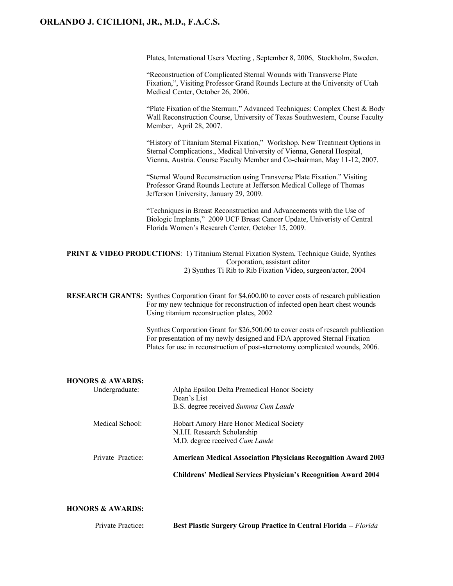Plates, International Users Meeting , September 8, 2006, Stockholm, Sweden.

| "Reconstruction of Complicated Sternal Wounds with Transverse Plate           |
|-------------------------------------------------------------------------------|
| Fixation,", Visiting Professor Grand Rounds Lecture at the University of Utah |
| Medical Center, October 26, 2006.                                             |

"Plate Fixation of the Sternum," Advanced Techniques: Complex Chest & Body Wall Reconstruction Course, University of Texas Southwestern, Course Faculty Member, April 28, 2007.

"History of Titanium Sternal Fixation," Workshop. New Treatment Options in Sternal Complications., Medical University of Vienna, General Hospital, Vienna, Austria. Course Faculty Member and Co-chairman, May 11-12, 2007.

"Sternal Wound Reconstruction using Transverse Plate Fixation." Visiting Professor Grand Rounds Lecture at Jefferson Medical College of Thomas Jefferson University, January 29, 2009.

"Techniques in Breast Reconstruction and Advancements with the Use of Biologic Implants," 2009 UCF Breast Cancer Update, Univeristy of Central Florida Women's Research Center, October 15, 2009.

**PRINT & VIDEO PRODUCTIONS**: 1) Titanium Sternal Fixation System, Technique Guide, Synthes Corporation, assistant editor 2) Synthes Ti Rib to Rib Fixation Video, surgeon/actor, 2004

**RESEARCH GRANTS:** Synthes Corporation Grant for \$4,600.00 to cover costs of research publication For my new technique for reconstruction of infected open heart chest wounds Using titanium reconstruction plates, 2002

> Synthes Corporation Grant for \$26,500.00 to cover costs of research publication For presentation of my newly designed and FDA approved Sternal Fixation Plates for use in reconstruction of post-sternotomy complicated wounds, 2006.

#### **HONORS & AWARDS:**

|                   | <b>Childrens' Medical Services Physician's Recognition Award 2004</b>                                    |
|-------------------|----------------------------------------------------------------------------------------------------------|
| Private Practice: | <b>American Medical Association Physicians Recognition Award 2003</b>                                    |
| Medical School:   | Hobart Amory Hare Honor Medical Society<br>N.I.H. Research Scholarship<br>M.D. degree received Cum Laude |
| Undergraduate:    | Alpha Epsilon Delta Premedical Honor Society<br>Dean's List<br>B.S. degree received Summa Cum Laude      |

### **HONORS & AWARDS:**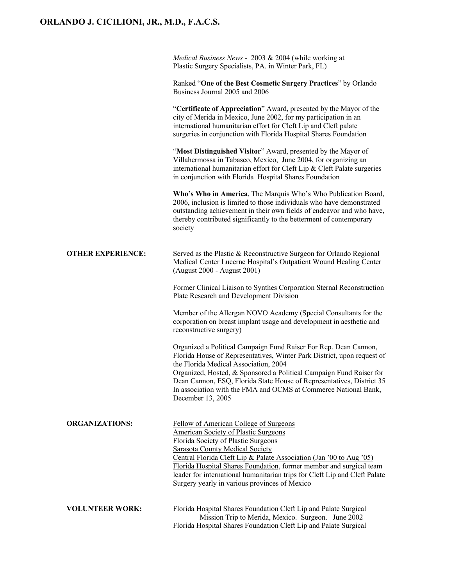|                          | Medical Business News - 2003 & 2004 (while working at<br>Plastic Surgery Specialists, PA. in Winter Park, FL)                                                                                                                                                                                                                                                                                                                                       |
|--------------------------|-----------------------------------------------------------------------------------------------------------------------------------------------------------------------------------------------------------------------------------------------------------------------------------------------------------------------------------------------------------------------------------------------------------------------------------------------------|
|                          | Ranked "One of the Best Cosmetic Surgery Practices" by Orlando<br>Business Journal 2005 and 2006                                                                                                                                                                                                                                                                                                                                                    |
|                          | "Certificate of Appreciation" Award, presented by the Mayor of the<br>city of Merida in Mexico, June 2002, for my participation in an<br>international humanitarian effort for Cleft Lip and Cleft palate<br>surgeries in conjunction with Florida Hospital Shares Foundation                                                                                                                                                                       |
|                          | "Most Distinguished Visitor" Award, presented by the Mayor of<br>Villahermossa in Tabasco, Mexico, June 2004, for organizing an<br>international humanitarian effort for Cleft Lip & Cleft Palate surgeries<br>in conjunction with Florida Hospital Shares Foundation                                                                                                                                                                               |
|                          | Who's Who in America, The Marquis Who's Who Publication Board,<br>2006, inclusion is limited to those individuals who have demonstrated<br>outstanding achievement in their own fields of endeavor and who have,<br>thereby contributed significantly to the betterment of contemporary<br>society                                                                                                                                                  |
| <b>OTHER EXPERIENCE:</b> | Served as the Plastic & Reconstructive Surgeon for Orlando Regional<br>Medical Center Lucerne Hospital's Outpatient Wound Healing Center<br>(August 2000 - August 2001)                                                                                                                                                                                                                                                                             |
|                          | Former Clinical Liaison to Synthes Corporation Sternal Reconstruction<br>Plate Research and Development Division                                                                                                                                                                                                                                                                                                                                    |
|                          | Member of the Allergan NOVO Academy (Special Consultants for the<br>corporation on breast implant usage and development in aesthetic and<br>reconstructive surgery)                                                                                                                                                                                                                                                                                 |
|                          | Organized a Political Campaign Fund Raiser For Rep. Dean Cannon,<br>Florida House of Representatives, Winter Park District, upon request of<br>the Florida Medical Association, 2004<br>Organized, Hosted, & Sponsored a Political Campaign Fund Raiser for<br>Dean Cannon, ESQ, Florida State House of Representatives, District 35<br>In association with the FMA and OCMS at Commerce National Bank,<br>December 13, 2005                        |
| <b>ORGANIZATIONS:</b>    | Fellow of American College of Surgeons<br><b>American Society of Plastic Surgeons</b><br>Florida Society of Plastic Surgeons<br><b>Sarasota County Medical Society</b><br>Central Florida Cleft Lip & Palate Association (Jan '00 to Aug '05)<br>Florida Hospital Shares Foundation, former member and surgical team<br>leader for international humanitarian trips for Cleft Lip and Cleft Palate<br>Surgery yearly in various provinces of Mexico |
| <b>VOLUNTEER WORK:</b>   | Florida Hospital Shares Foundation Cleft Lip and Palate Surgical<br>Mission Trip to Merida, Mexico. Surgeon. June 2002<br>Florida Hospital Shares Foundation Cleft Lip and Palate Surgical                                                                                                                                                                                                                                                          |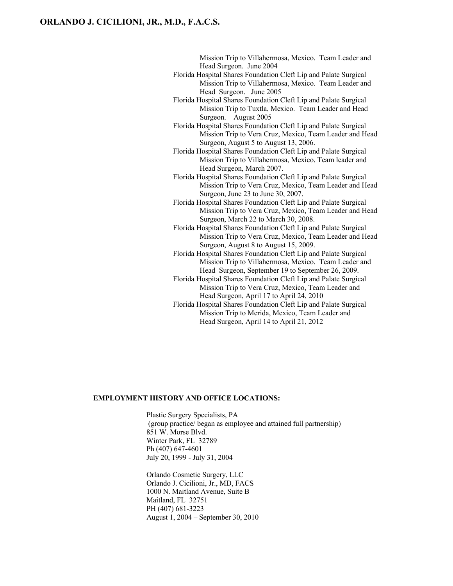Mission Trip to Villahermosa, Mexico. Team Leader and Head Surgeon. June 2004

- Florida Hospital Shares Foundation Cleft Lip and Palate Surgical Mission Trip to Villahermosa, Mexico. Team Leader and Head Surgeon. June 2005
- Florida Hospital Shares Foundation Cleft Lip and Palate Surgical Mission Trip to Tuxtla, Mexico. Team Leader and Head Surgeon. August 2005
- Florida Hospital Shares Foundation Cleft Lip and Palate Surgical Mission Trip to Vera Cruz, Mexico, Team Leader and Head Surgeon, August 5 to August 13, 2006.
- Florida Hospital Shares Foundation Cleft Lip and Palate Surgical Mission Trip to Villahermosa, Mexico, Team leader and Head Surgeon, March 2007.
- Florida Hospital Shares Foundation Cleft Lip and Palate Surgical Mission Trip to Vera Cruz, Mexico, Team Leader and Head Surgeon, June 23 to June 30, 2007.
- Florida Hospital Shares Foundation Cleft Lip and Palate Surgical Mission Trip to Vera Cruz, Mexico, Team Leader and Head Surgeon, March 22 to March 30, 2008.
- Florida Hospital Shares Foundation Cleft Lip and Palate Surgical Mission Trip to Vera Cruz, Mexico, Team Leader and Head Surgeon, August 8 to August 15, 2009.
- Florida Hospital Shares Foundation Cleft Lip and Palate Surgical Mission Trip to Villahermosa, Mexico. Team Leader and Head Surgeon, September 19 to September 26, 2009.
- Florida Hospital Shares Foundation Cleft Lip and Palate Surgical Mission Trip to Vera Cruz, Mexico, Team Leader and Head Surgeon, April 17 to April 24, 2010
- Florida Hospital Shares Foundation Cleft Lip and Palate Surgical Mission Trip to Merida, Mexico, Team Leader and Head Surgeon, April 14 to April 21, 2012

#### **EMPLOYMENT HISTORY AND OFFICE LOCATIONS:**

Plastic Surgery Specialists, PA (group practice/ began as employee and attained full partnership) 851 W. Morse Blvd. Winter Park, FL 32789 Ph (407) 647-4601 July 20, 1999 - July 31, 2004

Orlando Cosmetic Surgery, LLC Orlando J. Cicilioni, Jr., MD, FACS 1000 N. Maitland Avenue, Suite B Maitland, FL 32751 PH (407) 681-3223 August 1, 2004 – September 30, 2010